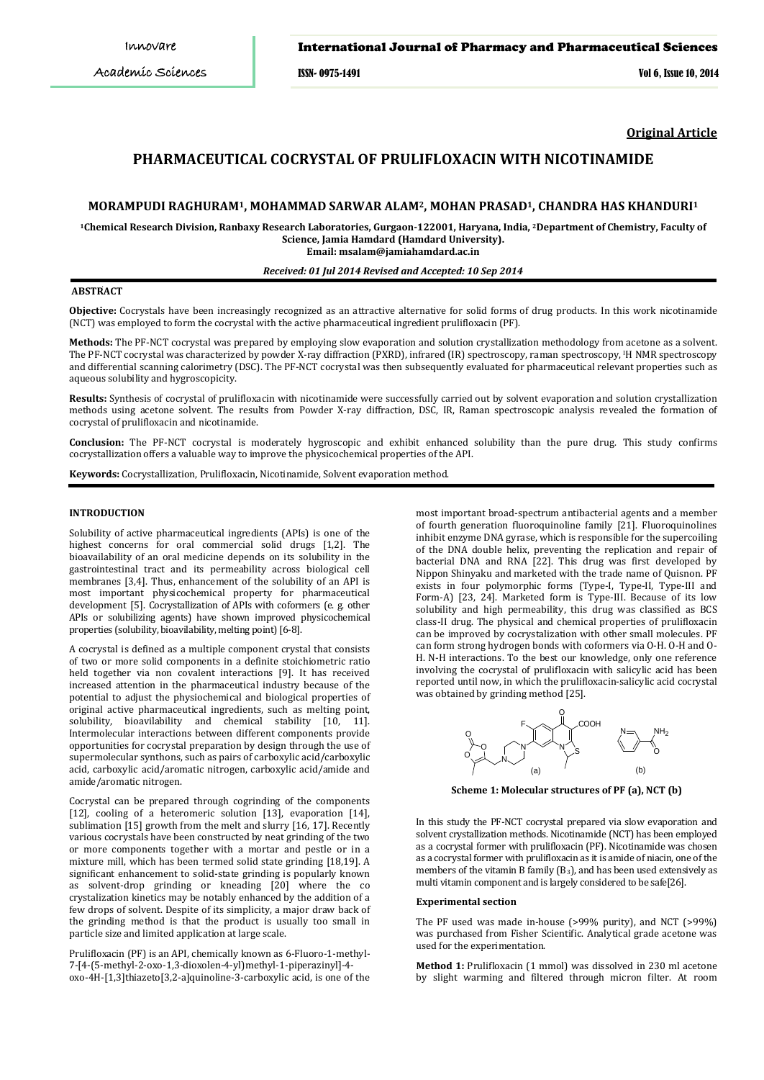## International Journal of Pharmacy and Pharmaceutical Sciences

ISSN- 0975-1491 Vol 6, Issue 10, 2014

**Original Article**

# **PHARMACEUTICAL COCRYSTAL OF PRULIFLOXACIN WITH NICOTINAMIDE**

## **MORAMPUDI RAGHURAM1, MOHAMMAD SARWAR ALAM2, MOHAN PRASAD1, CHANDRA HAS KHANDURI1**

**1Chemical Research Division, Ranbaxy Research Laboratories, Gurgaon-122001, Haryana, India, 2 Department of Chemistry, Faculty of Science, Jamia Hamdard (Hamdard University). Email: msalam@jamiahamdard.ac.in**

## *Received: 01 Jul 2014 Revised and Accepted: 10 Sep 2014*

#### **ABSTRACT**

**Objective:** Cocrystals have been increasingly recognized as an attractive alternative for solid forms of drug products. In this work nicotinamide (NCT) was employed to form the cocrystal with the active pharmaceutical ingredient prulifloxacin (PF).

**Methods:** The PF-NCT cocrystal was prepared by employing slow evaporation and solution crystallization methodology from acetone as a solvent. The PF-NCT cocrystal was characterized by powder X-ray diffraction (PXRD), infrared (IR) spectroscopy, raman spectroscopy, <sup>I</sup> H NMR spectroscopy and differential scanning calorimetry (DSC). The PF-NCT cocrystal was then subsequently evaluated for pharmaceutical relevant properties such as aqueous solubility and hygroscopicity.

**Results:** Synthesis of cocrystal of prulifloxacin with nicotinamide were successfully carried out by solvent evaporation and solution crystallization methods using acetone solvent. The results from Powder X-ray diffraction, DSC, IR, Raman spectroscopic analysis revealed the formation of cocrystal of prulifloxacin and nicotinamide.

**Conclusion:** The PF-NCT cocrystal is moderately hygroscopic and exhibit enhanced solubility than the pure drug. This study confirms cocrystallization offers a valuable way to improve the physicochemical properties of the API.

**Keywords:** Cocrystallization, Prulifloxacin, Nicotinamide, Solvent evaporation method.

### **INTRODUCTION**

Solubility of active pharmaceutical ingredients (APIs) is one of the highest concerns for oral commercial solid drugs [1,2]. The bioavailability of an oral medicine depends on its solubility in the gastrointestinal tract and its permeability across biological cell membranes [3,4]. Thus, enhancement of the solubility of an API is most important physicochemical property for pharmaceutical development [5]. Cocrystallization of APIs with coformers (e. g. other APIs or solubilizing agents) have shown improved physicochemical properties (solubility, bioavilability, melting point)[6-8].

A cocrystal is defined as a multiple component crystal that consists of two or more solid components in a definite stoichiometric ratio held together via non covalent interactions [9]. It has received increased attention in the pharmaceutical industry because of the potential to adjust the physiochemical and biological properties of original active pharmaceutical ingredients, such as melting point, solubility, bioavilability and chemical stability [10, 11]. Intermolecular interactions between different components provide opportunities for cocrystal preparation by design through the use of supermolecular synthons, such as pairs of carboxylic acid/carboxylic acid, carboxylic acid/aromatic nitrogen, carboxylic acid/amide and amide/aromatic nitrogen.

Cocrystal can be prepared through cogrinding of the components [12], cooling of a heteromeric solution [13], evaporation [14], sublimation [15] growth from the melt and slurry [16, 17]. Recently various cocrystals have been constructed by neat grinding of the two or more components together with a mortar and pestle or in a mixture mill, which has been termed solid state grinding [18,19]. A significant enhancement to solid-state grinding is popularly known as solvent-drop grinding or kneading [20] where the co crystalization kinetics may be notably enhanced by the addition of a few drops of solvent. Despite of its simplicity, a major draw back of the grinding method is that the product is usually too small in particle size and limited application at large scale.

Prulifloxacin (PF) is an API, chemically known as 6-Fluoro-1-methyl-7-[4-(5-methyl-2-oxo-1,3-dioxolen-4-yl)methyl-1-piperazinyl]-4 oxo-4H-[1,3]thiazeto[3,2-a]quinoline-3-carboxylic acid, is one of the most important broad-spectrum antibacterial agents and a member of fourth generation fluoroquinoline family [21]. Fluoroquinolines inhibit enzyme DNA gyrase, which is responsible for the supercoiling of the DNA double helix, preventing the replication and repair of bacterial DNA and RNA [22]. This drug was first developed by Nippon Shinyaku and marketed with the trade name of Quisnon. PF exists in four polymorphic forms (Type-I, Type-II, Type-III and Form-A) [23, 24]. Marketed form is Type-III. Because of its low solubility and high permeability, this drug was classified as BCS class-II drug. The physical and chemical properties of prulifloxacin can be improved by cocrystalization with other small molecules. PF can form strong hydrogen bonds with coformers via O-H. O-H and O-H. N-H interactions. To the best our knowledge, only one reference involving the cocrystal of prulifloxacin with salicylic acid has been reported until now, in which the prulifloxacin-salicylic acid cocrystal was obtained by grinding method [25].



**Scheme 1: Molecular structures of PF (a), NCT (b)**

In this study the PF-NCT cocrystal prepared via slow evaporation and solvent crystallization methods. Nicotinamide (NCT) has been employed as a cocrystal former with prulifloxacin (PF). Nicotinamide was chosen as a cocrystal former with prulifloxacin as it is amide of niacin, one of the members of the vitamin B family  $(B_3)$ , and has been used extensively as multi vitamin component and is largely considered to be safe[26].

#### **Experimental section**

The PF used was made in-house (>99% purity), and NCT (>99%) was purchased from Fisher Scientific. Analytical grade acetone was used for the experimentation.

**Method 1:** Prulifloxacin (1 mmol) was dissolved in 230 ml acetone by slight warming and filtered through micron filter. At room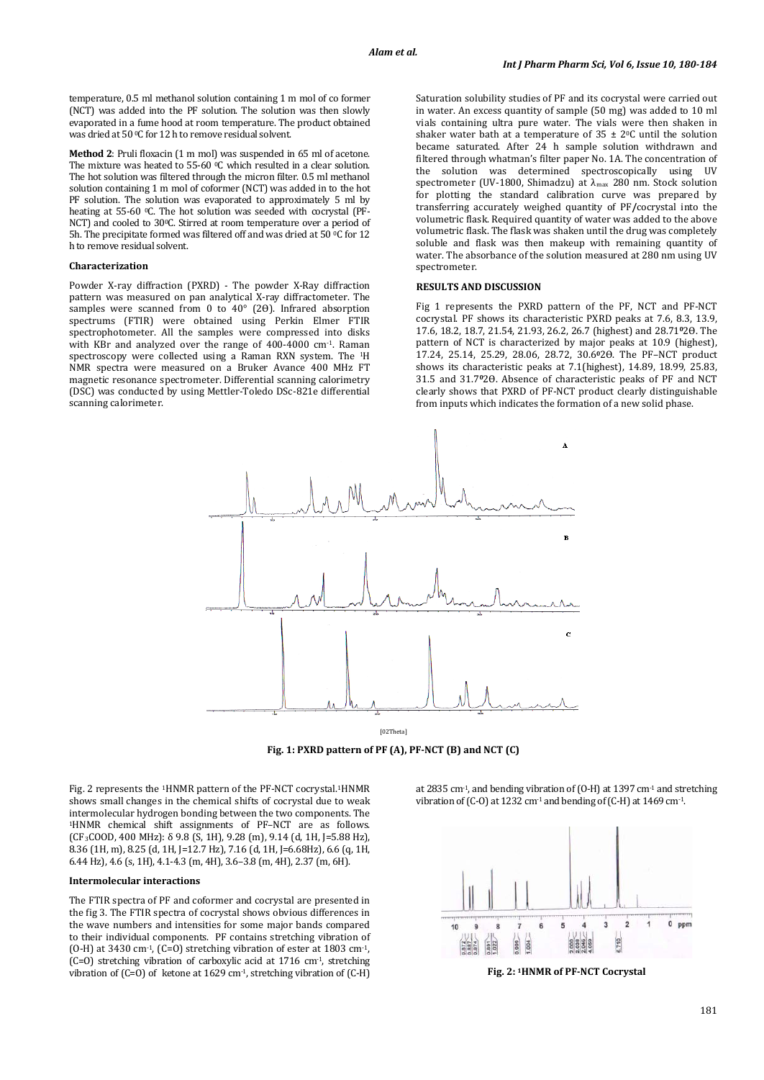temperature, 0.5 ml methanol solution containing 1 m mol of co former (NCT) was added into the PF solution. The solution was then slowly evaporated in a fume hood at room temperature. The product obtained was dried at 50 °C for 12 h to remove residual solvent.

**Method 2**: Pruli floxacin (1 m mol) was suspended in 65 ml of acetone. The mixture was heated to 55-60  $^{\circ}$ C which resulted in a clear solution. The hot solution was filtered through the micron filter. 0.5 ml methanol solution containing 1 m mol of coformer (NCT) was added in to the hot PF solution. The solution was evaporated to approximately 5 ml by heating at 55-60 0C. The hot solution was seeded with cocrystal (PF-NCT) and cooled to 30°C. Stirred at room temperature over a period of 5h. The precipitate formed was filtered off and was dried at 50 °C for 12 h to remove residual solvent.

## **Characterization**

Powder X-ray diffraction (PXRD) - The powder X-Ray diffraction pattern was measured on pan analytical X-ray diffractometer. The samples were scanned from 0 to 40° (2Θ). Infrared absorption spectrums (FTIR) were obtained using Perkin Elmer FTIR spectrophotometer. All the samples were compressed into disks with KBr and analyzed over the range of 400-4000 cm-1. Raman spectroscopy were collected using a Raman RXN system. The <sup>1</sup> H NMR spectra were measured on a Bruker Avance 400 MHz FT magnetic resonance spectrometer. Differential scanning calorimetry (DSC) was conducted by using Mettler-Toledo DSc-821e differential scanning calorimeter.

Saturation solubility studies of PF and its cocrystal were carried out in water. An excess quantity of sample (50 mg) was added to 10 ml vials containing ultra pure water. The vials were then shaken in shaker water bath at a temperature of  $35 \pm 20$  until the solution became saturated. After 24 h sample solution withdrawn and filtered through whatman's filter paper No. 1A. The concentration of the solution was determined spectroscopically using UV spectrometer (UV-1800, Shimadzu) at λ<sub>max</sub> 280 nm. Stock solution for plotting the standard calibration curve was prepared by transferring accurately weighed quantity of PF**/**cocrystal into the volumetric flask. Required quantity of water was added to the above volumetric flask. The flask was shaken until the drug was completely soluble and flask was then makeup with remaining quantity of water. The absorbance of the solution measured at 280 nm using UV spectrometer.

#### **RESULTS AND DISCUSSION**

Fig 1 represents the PXRD pattern of the PF, NCT and PF-NCT cocrystal. PF shows its characteristic PXRD peaks at 7.6, 8.3, 13.9, 17.6, 18.2, 18.7, 21.54, 21.93, 26.2, 26.7 (highest) and 28.71**<sup>0</sup>**2Ѳ. The pattern of NCT is characterized by major peaks at 10.9 (highest), 17.24, 25.14, 25.29, 28.06, 28.72, 30.6**<sup>0</sup>**2Ѳ. The PF–NCT product shows its characteristic peaks at 7.1(highest), 14.89, 18.99, 25.83, 31.5 and 31.7<sup>0</sup>2Θ. Absence of characteristic peaks of PF and NCT clearly shows that PXRD of PF-NCT product clearly distinguishable from inputs which indicates the formation of a new solid phase.



**Fig. 1: PXRD pattern of PF (A), PF-NCT (B) and NCT (C)**

Fig. 2 represents the 1HNMR pattern of the PF-NCT cocrystal. 1HNMR shows small changes in the chemical shifts of cocrystal due to weak<br>intermolecular hydrogen bonding between the two components. The <sup>1</sup>HNMR chemical shift assignments of PF–NCT are as follows. (CF3 COOD, 400 MHz): δ 9.8 (S, 1H), 9.28 (m), 9.14 (d, 1H, J=5.88 Hz), 8.36 (1H, m), 8.25 (d, 1H, J=12.7 Hz), 7.16 (d, 1H, J=6.68Hz), 6.6 (q, 1H, 6.44 Hz), 4.6 (s, 1H), 4.1-4.3 (m, 4H), 3.6–3.8 (m, 4H), 2.37 (m, 6H).

#### **Intermolecular interactions**

The FTIR spectra of PF and coformer and cocrystal are presented in the fig 3. The FTIR spectra of cocrystal shows obvious differences in the wave numbers and intensities for some major bands compared to their individual components. PF contains stretching vibration of (O-H) at 3430 cm<sup>-1</sup>, (C=O) stretching vibration of ester at 1803 cm<sup>-1</sup>, (C=O) stretching vibration of carboxylic acid at 1716 cm-1, stretching vibration of  $(C=0)$  of ketone at 1629 cm<sup>-1</sup>, stretching vibration of  $(C-H)$ 

at 2835 cm<sup>-1</sup>, and bending vibration of (O-H) at 1397 cm<sup>-1</sup> and stretching vibration of (C-O) at 1232 cm<sup>-1</sup> and bending of (C-H) at  $1469$  cm<sup>-1</sup>.



**Fig. 2: 1HNMR of PF-NCT Cocrystal**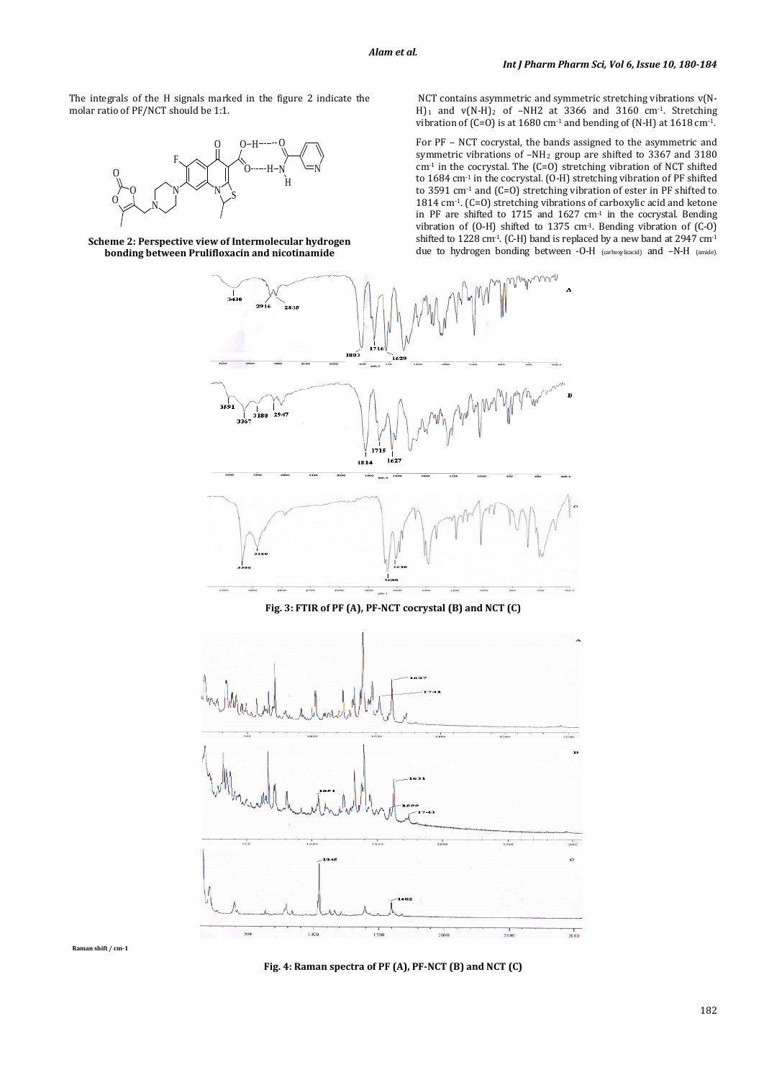The integrals of the H signals marked in the figure 2 indicate the molar ratio of PF/NCT should be 1:1.



**Scheme 2: Perspective view of Intermolecular hydrogen bonding between Prulifloxacin and nicotinamide**

NCT contains asymmetric and symmetric stretching vibrations v(N-H)<sub>1</sub> and  $v(N-H)$ <sub>2</sub> of -NH2 at 3366 and 3160 cm<sup>-1</sup>. Stretching vibration of (C=O) is at  $1680 \text{ cm}^2$  and bending of (N-H) at  $1618 \text{ cm}^2$ .

For PF – NCT cocrystal, the bands assigned to the asymmetric and symmetric vibrations of –NH <sup>2</sup> group are shifted to 3367 and 3180 cm-1 in the cocrystal. The (C=O) stretching vibration of NCT shifted to 1684 cm-1 in the cocrystal. (O-H) stretching vibration of PF shifted to 3591 cm<sup>-1</sup> and (C=O) stretching vibration of ester in PF shifted to 1814 cm-1. (C=O) stretching vibrations of carboxylic acid and ketone in PF are shifted to 1715 and 1627 cm-1 in the cocrystal. Bending vibration of (O-H) shifted to 1375 cm<sup>-1</sup>. Bending vibration of  $(C-0)$ shifted to 1228 cm<sup>-1</sup>. (C-H) band is replaced by a new band at 2947 cm<sup>-1</sup> due to hydrogen bonding between -O-H (carboxylicacid) and -N-H (amide).



**Fig. 3: FTIR of PF (A), PF-NCT cocrystal (B) and NCT (C)**



**Raman shift / cm-1**

**Fig. 4: Raman spectra of PF (A), PF-NCT (B) and NCT (C)**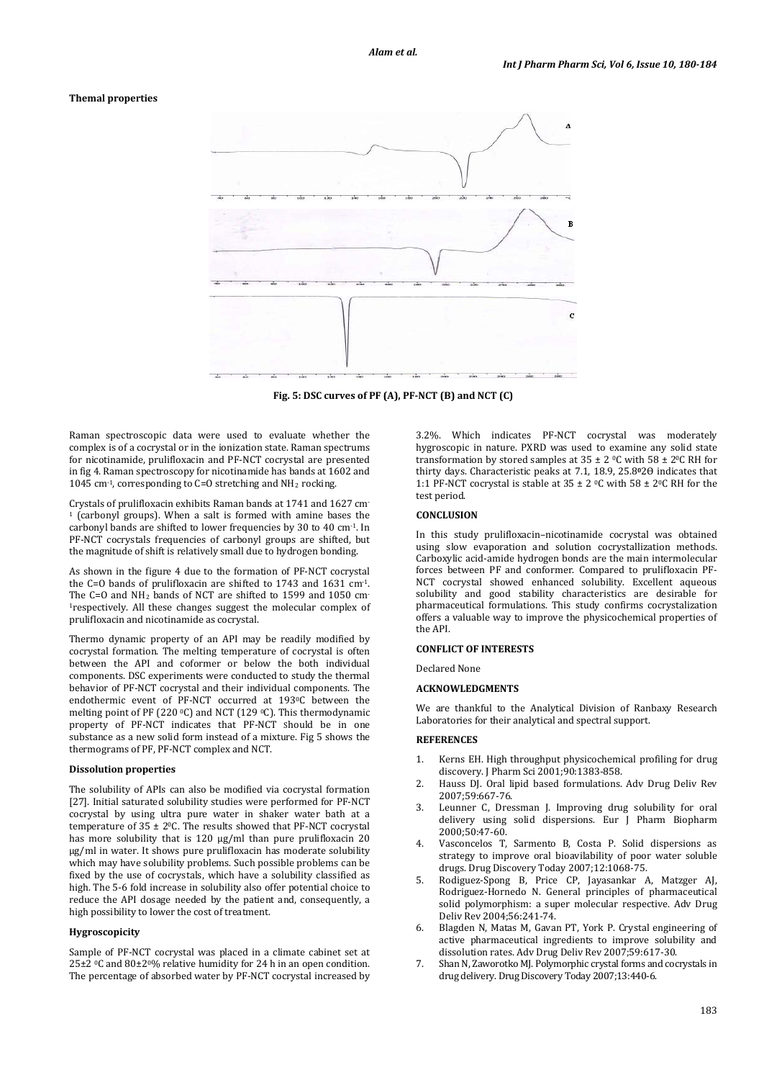#### **Themal properties**



**Fig. 5: DSC curves of PF (A), PF-NCT (B) and NCT (C)**

Raman spectroscopic data were used to evaluate whether the complex is of a cocrystal or in the ionization state. Raman spectrums for nicotinamide, prulifloxacin and PF-NCT cocrystal are presented in fig 4. Raman spectroscopy for nicotinamide has bands at 1602 and  $1045$  cm<sup>-1</sup>, corresponding to C=O stretching and NH<sub>2</sub> rocking.

Crystals of prulifloxacin exhibits Raman bands at 1741 and 1627 cm - <sup>1</sup> (carbonyl groups). When a salt is formed with amine bases the carbonyl bands are shifted to lower frequencies by 30 to 40 cm-1 . In PF-NCT cocrystals frequencies of carbonyl groups are shifted, but the magnitude of shift is relatively small due to hydrogen bonding.

As shown in the figure 4 due to the formation of PF-NCT cocrystal the C=O bands of prulifloxacin are shifted to  $1743$  and  $1631$  cm<sup>-1</sup>. The C=O and NH2 bands of NCT are shifted to 1599 and 1050 cm-1 respectively. All these changes suggest the molecular complex of prulifloxacin and nicotinamide as cocrystal.

Thermo dynamic property of an API may be readily modified by cocrystal formation. The melting temperature of cocrystal is often between the API and coformer or below the both individual components. DSC experiments were conducted to study the thermal behavior of PF-NCT cocrystal and their individual components. The endothermic event of PF-NCT occurred at 193 0C between the melting point of PF (220 0C) and NCT (129 0 C). This thermodynamic property of PF-NCT indicates that PF-NCT should be in one substance as a new solid form instead of a mixture. Fig 5 shows the thermograms of PF, PF-NCT complex and NCT.

#### **Dissolution properties**

The solubility of APIs can also be modified via cocrystal formation [27]. Initial saturated solubility studies were performed for PF-NCT cocrystal by using ultra pure water in shaker water bath at a temperature of 35 ± 20 C. The results showed that PF-NCT cocrystal has more solubility that is 120 µg/ml than pure prulifloxacin 20 µg/ml in water. It shows pure prulifloxacin has moderate solubility which may have solubility problems. Such possible problems can be fixed by the use of cocrystals, which have a solubility classified as high. The 5-6 fold increase in solubility also offer potential choice to reduce the API dosage needed by the patient and, consequently, a high possibility to lower the cost of treatment.

## **Hygroscopicity**

Sample of PF-NCT cocrystal was placed in a climate cabinet set at 25±2 0C and 80±20% relative humidity for 24 h in an open condition. The percentage of absorbed water by PF-NCT cocrystal increased by

3.2%. Which indicates PF-NCT cocrystal was moderately hygroscopic in nature. PXRD was used to examine any solid state transformation by stored samples at  $35 \pm 2$  °C with  $58 \pm 2$ °C RH for thirty days. Characteristic peaks at 7.1, 18.9, 25.8**<sup>0</sup>**2Ѳ indicates that 1:1 PF-NCT cocrystal is stable at  $35 \pm 2$  °C with  $58 \pm 2$ °C RH for the test period.

### **CONCLUSION**

In this study prulifloxacin–nicotinamide cocrystal was obtained using slow evaporation and solution cocrystallization methods. Carboxylic acid-amide hydrogen bonds are the main intermolecular forces between PF and conformer. Compared to prulifloxacin PF-NCT cocrystal showed enhanced solubility. Excellent aqueous solubility and good stability characteristics are desirable for pharmaceutical formulations. This study confirms cocrystalization offers a valuable way to improve the physicochemical properties of the API.

## **CONFLICT OF INTERESTS**

Declared None

#### **ACKNOWLEDGMENTS**

We are thankful to the Analytical Division of Ranbaxy Research Laboratories for their analytical and spectral support.

#### **REFERENCES**

- 1. Kerns EH. High throughput physicochemical profiling for drug discovery. J Pharm Sci 2001;90:1383-858.
- 2. Hauss DJ. Oral lipid based formulations. Adv Drug Deliv Rev 2007;59:667-76.
- 3. Leunner C, Dressman J. Improving drug solubility for oral delivery using solid dispersions. Eur J Pharm Biopharm 2000;50:47-60.
- 4. Vasconcelos T, Sarmento B, Costa P. Solid dispersions as strategy to improve oral bioavilability of poor water soluble drugs. Drug Discovery Today 2007;12:1068-75.
- 5. Rodiguez-Spong B, Price CP, Jayasankar A, Matzger AJ, Rodriguez-Hornedo N. General principles of pharmaceutical solid polymorphism: a super molecular respective. Adv Drug Deliv Rev 2004;56:241-74.
- 6. Blagden N, Matas M, Gavan PT, York P. Crystal engineering of active pharmaceutical ingredients to improve solubility and dissolution rates. Adv Drug Deliv Rev 2007;59:617-30.
- 7. Shan N, Zaworotko MJ. Polymorphic crystal forms and cocrystals in drug delivery. Drug Discovery Today 2007;13:440-6.